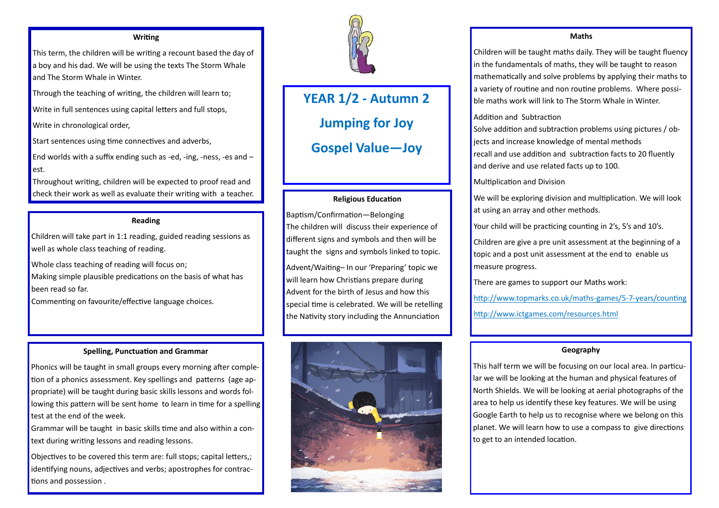# **YEAR 1/2 - Autumn 2 Jumping for Joy Gospel Value—Joy**

#### **Writing**

This term, the children will be writing a recount based the day of a boy and his dad. We will be using the texts The Storm Whale and The Storm Whale in Winter.

End worlds with a suffix ending such as -ed, -ing, -ness, -es and  $$ est.

Through the teaching of writing, the children will learn to;

Write in full sentences using capital letters and full stops,

Write in chronological order,

Start sentences using time connectives and adverbs,

Throughout writing, children will be expected to proof read and check their work as well as evaluate their writing with a teacher.

#### **Reading**

Children will take part in 1:1 reading, guided reading sessions as well as whole class teaching of reading.

Whole class teaching of reading will focus on;

Making simple plausible predications on the basis of what has been read so far.

Commenting on favourite/effective language choices.

#### **Spelling, Punctuation and Grammar**

Phonics will be taught in small groups every morning after completion of a phonics assessment. Key spellings and patterns (age appropriate) will be taught during basic skills lessons and words following this pattern will be sent home to learn in time for a spelling test at the end of the week.

Grammar will be taught in basic skills time and also within a context during writing lessons and reading lessons.

Objectives to be covered this term are: full stops; capital letters,; identifying nouns, adjectives and verbs; apostrophes for contractions and possession .



# **Religious Education**

Baptism/Confirmation—Belonging The children will discuss their experience of different signs and symbols and then will be taught the signs and symbols linked to topic.

Advent/Waiting– In our 'Preparing' topic we will learn how Christians prepare during Advent for the birth of Jesus and how this special time is celebrated. We will be retelling the Nativity story including the Annunciation



## **Maths**

Children will be taught maths daily. They will be taught fluency in the fundamentals of maths, they will be taught to reason mathematically and solve problems by applying their maths to a variety of routine and non routine problems. Where possible maths work will link to The Storm Whale in Winter.

Addition and Subtraction

- 
- Solve addition and subtraction problems using pictures / objects and increase knowledge of mental methods
- recall and use addition and subtraction facts to 20 fluently and derive and use related facts up to 100.
	-
- We will be exploring division and multiplication. We will look
- Your child will be practicing counting in 2's, 5's and 10's.
- Children are give a pre unit assessment at the beginning of a topic and a post unit assessment at the end to enable us

Multiplication and Division at using an array and other methods. measure progress.

## There are games to support our Maths work:

http://www.topmarks.co.uk/maths-games/5-7-years/counting

http://www.ictgames.com/resources.html

# **Geography**

This half term we will be focusing on our local area. In particular we will be looking at the human and physical features of North Shields. We will be looking at aerial photographs of the area to help us identify these key features. We will be using Google Earth to help us to recognise where we belong on this planet. We will learn how to use a compass to give directions to get to an intended location.